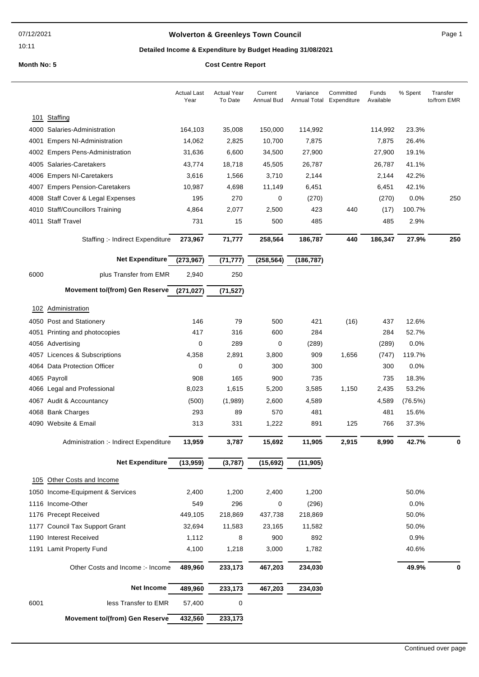10:11

## **Wolverton & Greenleys Town Council** Magnetic Page 1

## **Detailed Income & Expenditure by Budget Heading 31/08/2021**

|      |                                        | <b>Actual Last</b><br>Year | <b>Actual Year</b><br>To Date | Current<br><b>Annual Bud</b> | Variance<br>Annual Total | Committed<br>Expenditure | Funds<br>Available | % Spent | Transfer<br>to/from EMR |
|------|----------------------------------------|----------------------------|-------------------------------|------------------------------|--------------------------|--------------------------|--------------------|---------|-------------------------|
| 101  | Staffing                               |                            |                               |                              |                          |                          |                    |         |                         |
|      | 4000 Salaries-Administration           | 164,103                    | 35,008                        | 150,000                      | 114,992                  |                          | 114,992            | 23.3%   |                         |
| 4001 | <b>Empers NI-Administration</b>        | 14,062                     | 2,825                         | 10,700                       | 7,875                    |                          | 7,875              | 26.4%   |                         |
|      | 4002 Empers Pens-Administration        | 31,636                     | 6,600                         | 34,500                       | 27,900                   |                          | 27,900             | 19.1%   |                         |
|      | 4005 Salaries-Caretakers               | 43,774                     | 18,718                        | 45,505                       | 26,787                   |                          | 26,787             | 41.1%   |                         |
|      | 4006 Empers NI-Caretakers              | 3,616                      | 1,566                         | 3,710                        | 2,144                    |                          | 2,144              | 42.2%   |                         |
|      | 4007 Empers Pension-Caretakers         | 10,987                     | 4,698                         | 11,149                       | 6,451                    |                          | 6,451              | 42.1%   |                         |
|      | 4008 Staff Cover & Legal Expenses      | 195                        | 270                           | 0                            | (270)                    |                          | (270)              | 0.0%    | 250                     |
|      | 4010 Staff/Councillors Training        | 4,864                      | 2,077                         | 2,500                        | 423                      | 440                      | (17)               | 100.7%  |                         |
|      | 4011 Staff Travel                      | 731                        | 15                            | 500                          | 485                      |                          | 485                | 2.9%    |                         |
|      |                                        |                            |                               |                              |                          |                          |                    |         |                         |
|      | Staffing :- Indirect Expenditure       | 273,967                    | 71,777                        | 258,564                      | 186,787                  | 440                      | 186,347            | 27.9%   | 250                     |
|      | <b>Net Expenditure</b>                 | (273, 967)                 | (71, 777)                     | (258, 564)                   | (186, 787)               |                          |                    |         |                         |
| 6000 | plus Transfer from EMR                 | 2,940                      | 250                           |                              |                          |                          |                    |         |                         |
|      | <b>Movement to/(from) Gen Reserve</b>  | (271, 027)                 | (71, 527)                     |                              |                          |                          |                    |         |                         |
|      | 102 Administration                     |                            |                               |                              |                          |                          |                    |         |                         |
|      | 4050 Post and Stationery               | 146                        | 79                            | 500                          | 421                      | (16)                     | 437                | 12.6%   |                         |
| 4051 | Printing and photocopies               | 417                        | 316                           | 600                          | 284                      |                          | 284                | 52.7%   |                         |
|      | 4056 Advertising                       | 0                          | 289                           | 0                            | (289)                    |                          | (289)              | 0.0%    |                         |
|      | 4057 Licences & Subscriptions          | 4,358                      | 2,891                         | 3,800                        | 909                      | 1,656                    | (747)              | 119.7%  |                         |
|      | 4064 Data Protection Officer           | 0                          | 0                             | 300                          | 300                      |                          | 300                | 0.0%    |                         |
|      | 4065 Payroll                           | 908                        | 165                           | 900                          | 735                      |                          | 735                | 18.3%   |                         |
|      | 4066 Legal and Professional            | 8,023                      | 1,615                         | 5,200                        | 3,585                    | 1,150                    | 2,435              | 53.2%   |                         |
|      | 4067 Audit & Accountancy               | (500)                      | (1,989)                       | 2,600                        | 4,589                    |                          | 4,589              | (76.5%) |                         |
|      | 4068 Bank Charges                      | 293                        | 89                            | 570                          | 481                      |                          | 481                | 15.6%   |                         |
|      | 4090 Website & Email                   | 313                        | 331                           | 1,222                        | 891                      | 125                      | 766                | 37.3%   |                         |
|      | Administration :- Indirect Expenditure | 13,959                     | 3,787                         | 15,692                       | 11,905                   | 2,915                    | 8,990              | 42.7%   | 0                       |
|      | <b>Net Expenditure</b>                 | (13,959)                   | (3,787)                       | (15, 692)                    | (11, 905)                |                          |                    |         |                         |
|      | 105 Other Costs and Income             |                            |                               |                              |                          |                          |                    |         |                         |
|      | 1050 Income-Equipment & Services       | 2,400                      | 1,200                         | 2,400                        | 1,200                    |                          |                    | 50.0%   |                         |
|      | 1116 Income-Other                      | 549                        | 296                           | 0                            | (296)                    |                          |                    | 0.0%    |                         |
|      | 1176 Precept Received                  | 449,105                    | 218,869                       | 437,738                      | 218,869                  |                          |                    | 50.0%   |                         |
| 1177 | <b>Council Tax Support Grant</b>       | 32,694                     | 11,583                        | 23,165                       | 11,582                   |                          |                    | 50.0%   |                         |
|      | 1190 Interest Received                 | 1,112                      | 8                             | 900                          | 892                      |                          |                    | 0.9%    |                         |
|      | 1191 Lamit Property Fund               | 4,100                      | 1,218                         | 3,000                        | 1,782                    |                          |                    | 40.6%   |                         |
|      | Other Costs and Income :- Income       | 489,960                    | 233,173                       | 467,203                      | 234,030                  |                          |                    | 49.9%   | $\bf{0}$                |
|      | <b>Net Income</b>                      | 489,960                    | 233,173                       | 467,203                      | 234,030                  |                          |                    |         |                         |
| 6001 | less Transfer to EMR                   | 57,400                     | 0                             |                              |                          |                          |                    |         |                         |
|      | <b>Movement to/(from) Gen Reserve</b>  | 432,560                    | 233,173                       |                              |                          |                          |                    |         |                         |
|      |                                        |                            |                               |                              |                          |                          |                    |         |                         |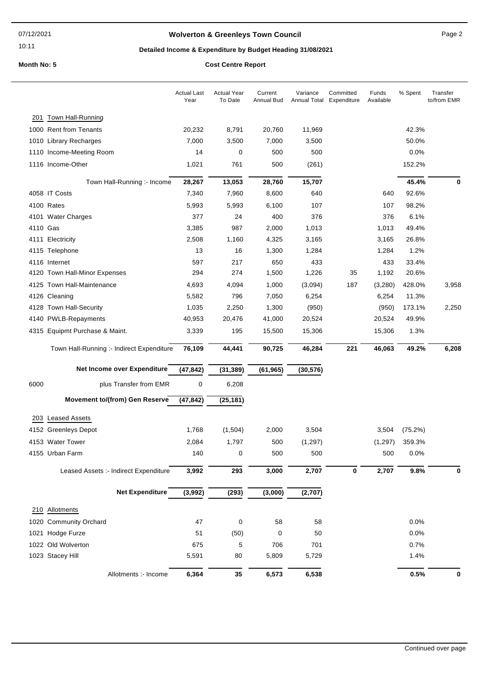## **Wolverton & Greenleys Town Council** Manual Page 2

10:11

## **Detailed Income & Expenditure by Budget Heading 31/08/2021**

|          |                                           | <b>Actual Last</b><br>Year | <b>Actual Year</b><br>To Date | Current<br><b>Annual Bud</b> | Variance<br>Annual Total | Committed<br>Expenditure | Funds<br>Available | % Spent | Transfer<br>to/from EMR |
|----------|-------------------------------------------|----------------------------|-------------------------------|------------------------------|--------------------------|--------------------------|--------------------|---------|-------------------------|
|          | 201 Town Hall-Running                     |                            |                               |                              |                          |                          |                    |         |                         |
|          | 1000 Rent from Tenants                    | 20,232                     | 8,791                         | 20,760                       | 11,969                   |                          |                    | 42.3%   |                         |
|          | 1010 Library Recharges                    | 7,000                      | 3,500                         | 7,000                        | 3,500                    |                          |                    | 50.0%   |                         |
|          | 1110 Income-Meeting Room                  | 14                         | 0                             | 500                          | 500                      |                          |                    | 0.0%    |                         |
|          | 1116 Income-Other                         | 1,021                      | 761                           | 500                          | (261)                    |                          |                    | 152.2%  |                         |
|          | Town Hall-Running :- Income               | 28,267                     | 13,053                        | 28,760                       | 15,707                   |                          |                    | 45.4%   | 0                       |
|          | 4058 IT Costs                             | 7,340                      | 7,960                         | 8,600                        | 640                      |                          | 640                | 92.6%   |                         |
|          | 4100 Rates                                | 5,993                      | 5,993                         | 6,100                        | 107                      |                          | 107                | 98.2%   |                         |
|          | 4101 Water Charges                        | 377                        | 24                            | 400                          | 376                      |                          | 376                | 6.1%    |                         |
| 4110 Gas |                                           | 3,385                      | 987                           | 2,000                        | 1,013                    |                          | 1,013              | 49.4%   |                         |
|          | 4111 Electricity                          | 2,508                      | 1,160                         | 4,325                        | 3,165                    |                          | 3,165              | 26.8%   |                         |
|          | 4115 Telephone                            | 13                         | 16                            | 1,300                        | 1,284                    |                          | 1,284              | 1.2%    |                         |
|          | 4116 Internet                             | 597                        | 217                           | 650                          | 433                      |                          | 433                | 33.4%   |                         |
|          | 4120 Town Hall-Minor Expenses             | 294                        | 274                           | 1,500                        | 1,226                    | 35                       | 1,192              | 20.6%   |                         |
|          | 4125 Town Hall-Maintenance                | 4,693                      | 4,094                         | 1,000                        | (3,094)                  | 187                      | (3,280)            | 428.0%  | 3,958                   |
|          | 4126 Cleaning                             | 5,582                      | 796                           | 7,050                        | 6,254                    |                          | 6,254              | 11.3%   |                         |
|          | 4128 Town Hall-Security                   | 1,035                      | 2,250                         | 1,300                        | (950)                    |                          | (950)              | 173.1%  | 2,250                   |
|          | 4140 PWLB-Repayments                      | 40,953                     | 20,476                        | 41,000                       | 20,524                   |                          | 20,524             | 49.9%   |                         |
|          | 4315 Equipmt Purchase & Maint.            | 3,339                      | 195                           | 15,500                       | 15,306                   |                          | 15,306             | 1.3%    |                         |
|          | Town Hall-Running :- Indirect Expenditure | 76,109                     | 44,441                        | 90,725                       | 46,284                   | 221                      | 46,063             | 49.2%   | 6,208                   |
|          | Net Income over Expenditure               | (47, 842)                  | (31, 389)                     | (61, 965)                    | (30, 576)                |                          |                    |         |                         |
| 6000     | plus Transfer from EMR                    | 0                          | 6,208                         |                              |                          |                          |                    |         |                         |
|          | <b>Movement to/(from) Gen Reserve</b>     | (47, 842)                  | (25, 181)                     |                              |                          |                          |                    |         |                         |
|          | 203 Leased Assets                         |                            |                               |                              |                          |                          |                    |         |                         |
|          | 4152 Greenleys Depot                      | 1,768                      | (1,504)                       | 2,000                        | 3,504                    |                          | 3,504              | (75.2%) |                         |
|          | 4153 Water Tower                          | 2,084                      | 1,797                         | 500                          | (1, 297)                 |                          | (1,297)            | 359.3%  |                         |
|          | 4155 Urban Farm                           | 140                        | 0                             | 500                          | 500                      |                          | 500                | 0.0%    |                         |
|          |                                           |                            |                               |                              |                          |                          |                    |         |                         |
|          | Leased Assets :- Indirect Expenditure     | 3,992                      | 293                           | 3,000                        | 2,707                    | $\pmb{0}$                | 2,707              | 9.8%    | 0                       |
|          | <b>Net Expenditure</b>                    | (3,992)                    | (293)                         | (3,000)                      | (2,707)                  |                          |                    |         |                         |
|          | 210 Allotments                            |                            |                               |                              |                          |                          |                    |         |                         |
|          | 1020 Community Orchard                    | 47                         | $\pmb{0}$                     | 58                           | 58                       |                          |                    | $0.0\%$ |                         |
|          | 1021 Hodge Furze                          | 51                         | (50)                          | 0                            | 50                       |                          |                    | 0.0%    |                         |
|          | 1022 Old Wolverton                        | 675                        | 5                             | 706                          | 701                      |                          |                    | 0.7%    |                         |
|          |                                           | 5,591                      | 80                            | 5,809                        | 5,729                    |                          |                    | 1.4%    |                         |
|          | 1023 Stacey Hill                          |                            |                               |                              |                          |                          |                    |         |                         |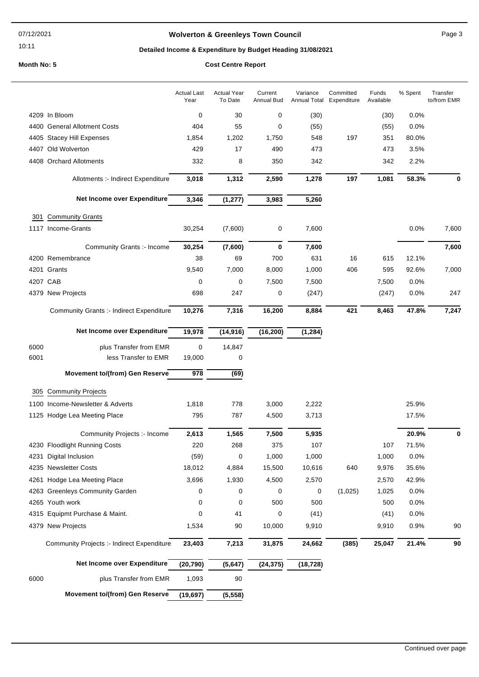#### 07/12/2021

#### 10:11

## **Wolverton & Greenleys Town Council** Manual Page 3

## **Detailed Income & Expenditure by Budget Heading 31/08/2021**

|          |                                                 | <b>Actual Last</b><br>Year | <b>Actual Year</b><br>To Date | Current<br><b>Annual Bud</b> | Variance<br><b>Annual Total</b> | Committed<br>Expenditure | Funds<br>Available | % Spent | Transfer<br>to/from EMR |
|----------|-------------------------------------------------|----------------------------|-------------------------------|------------------------------|---------------------------------|--------------------------|--------------------|---------|-------------------------|
|          | 4209 In Bloom                                   | $\mathbf 0$                | 30                            | 0                            | (30)                            |                          | (30)               | 0.0%    |                         |
|          | 4400 General Allotment Costs                    | 404                        | 55                            | 0                            | (55)                            |                          | (55)               | 0.0%    |                         |
|          | 4405 Stacey Hill Expenses                       | 1,854                      | 1,202                         | 1,750                        | 548                             | 197                      | 351                | 80.0%   |                         |
|          | 4407 Old Wolverton                              | 429                        | 17                            | 490                          | 473                             |                          | 473                | 3.5%    |                         |
|          | 4408 Orchard Allotments                         | 332                        | 8                             | 350                          | 342                             |                          | 342                | 2.2%    |                         |
|          | Allotments :- Indirect Expenditure              | 3,018                      | 1,312                         | 2,590                        | 1,278                           | 197                      | 1,081              | 58.3%   | 0                       |
|          | Net Income over Expenditure                     | 3,346                      | (1, 277)                      | 3,983                        | 5,260                           |                          |                    |         |                         |
| 301      | <b>Community Grants</b>                         |                            |                               |                              |                                 |                          |                    |         |                         |
|          | 1117 Income-Grants                              | 30,254                     | (7,600)                       | 0                            | 7,600                           |                          |                    | 0.0%    | 7,600                   |
|          | Community Grants :- Income                      | 30,254                     | (7,600)                       | 0                            | 7,600                           |                          |                    |         | 7,600                   |
|          | 4200 Remembrance                                | 38                         | 69                            | 700                          | 631                             | 16                       | 615                | 12.1%   |                         |
|          | 4201 Grants                                     | 9,540                      | 7,000                         | 8,000                        | 1,000                           | 406                      | 595                | 92.6%   | 7,000                   |
| 4207 CAB |                                                 | 0                          | 0                             | 7,500                        | 7,500                           |                          | 7,500              | 0.0%    |                         |
|          | 4379 New Projects                               | 698                        | 247                           | 0                            | (247)                           |                          | (247)              | 0.0%    | 247                     |
|          | <b>Community Grants :- Indirect Expenditure</b> | 10,276                     | 7,316                         | 16,200                       | 8,884                           | 421                      | 8,463              | 47.8%   | 7,247                   |
|          | Net Income over Expenditure                     | 19,978                     | (14, 916)                     | (16, 200)                    | (1, 284)                        |                          |                    |         |                         |
| 6000     | plus Transfer from EMR                          | $\mathbf 0$                | 14,847                        |                              |                                 |                          |                    |         |                         |
| 6001     | less Transfer to EMR                            | 19,000                     | 0                             |                              |                                 |                          |                    |         |                         |
|          | <b>Movement to/(from) Gen Reserve</b>           | 978                        | (69)                          |                              |                                 |                          |                    |         |                         |
|          |                                                 |                            |                               |                              |                                 |                          |                    |         |                         |
|          | 305 Community Projects                          |                            |                               |                              |                                 |                          |                    |         |                         |
|          | 1100 Income-Newsletter & Adverts                | 1,818                      | 778                           | 3,000                        | 2,222                           |                          |                    | 25.9%   |                         |
|          | 1125 Hodge Lea Meeting Place                    | 795                        | 787                           | 4,500                        | 3,713                           |                          |                    | 17.5%   |                         |
|          | Community Projects :- Income                    | 2,613                      | 1,565                         | 7,500                        | 5,935                           |                          |                    | 20.9%   | 0                       |
|          | 4230 Floodlight Running Costs                   | 220                        | 268                           | 375                          | 107                             |                          | 107                | 71.5%   |                         |
|          | 4231 Digital Inclusion                          | (59)                       | 0                             | 1,000                        | 1,000                           |                          | 1,000              | 0.0%    |                         |
|          | 4235 Newsletter Costs                           | 18,012                     | 4,884                         | 15,500                       | 10,616                          | 640                      | 9,976              | 35.6%   |                         |
|          | 4261 Hodge Lea Meeting Place                    | 3,696                      | 1,930                         | 4,500                        | 2,570                           |                          | 2,570              | 42.9%   |                         |
|          | 4263 Greenleys Community Garden                 | 0                          | 0                             | 0                            | 0                               | (1,025)                  | 1,025              | 0.0%    |                         |
|          | 4265 Youth work                                 | 0                          | 0                             | 500                          | 500                             |                          | 500                | 0.0%    |                         |
|          | 4315 Equipmt Purchase & Maint.                  | 0                          | 41                            | 0                            | (41)                            |                          | (41)               | 0.0%    |                         |
|          | 4379 New Projects                               | 1,534                      | 90                            | 10,000                       | 9,910                           |                          | 9,910              | 0.9%    | 90                      |
|          | Community Projects :- Indirect Expenditure      | 23,403                     | 7,213                         | 31,875                       | 24,662                          | (385)                    | 25,047             | 21.4%   | 90                      |
|          | Net Income over Expenditure                     | (20, 790)                  | (5,647)                       | (24, 375)                    | (18, 728)                       |                          |                    |         |                         |
| 6000     | plus Transfer from EMR                          | 1,093                      | 90                            |                              |                                 |                          |                    |         |                         |
|          | <b>Movement to/(from) Gen Reserve</b>           | (19, 697)                  | (5, 558)                      |                              |                                 |                          |                    |         |                         |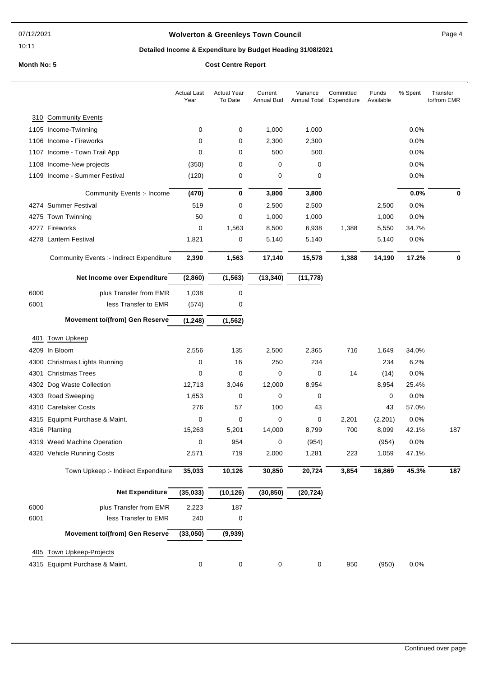10:11

## **Wolverton & Greenleys Town Council Contract Contract Contract Page 4**

## **Detailed Income & Expenditure by Budget Heading 31/08/2021**

|      |                                                 | <b>Actual Last</b><br>Year | <b>Actual Year</b><br>To Date | Current<br><b>Annual Bud</b> | Variance<br>Annual Total Expenditure | Committed | Funds<br>Available | % Spent | Transfer<br>to/from EMR |
|------|-------------------------------------------------|----------------------------|-------------------------------|------------------------------|--------------------------------------|-----------|--------------------|---------|-------------------------|
|      | 310 Community Events                            |                            |                               |                              |                                      |           |                    |         |                         |
|      | 1105 Income-Twinning                            | 0                          | 0                             | 1,000                        | 1,000                                |           |                    | 0.0%    |                         |
|      | 1106 Income - Fireworks                         | 0                          | 0                             | 2,300                        | 2,300                                |           |                    | 0.0%    |                         |
|      | 1107 Income - Town Trail App                    | 0                          | 0                             | 500                          | 500                                  |           |                    | 0.0%    |                         |
|      | 1108 Income-New projects                        | (350)                      | 0                             | 0                            | 0                                    |           |                    | 0.0%    |                         |
|      | 1109 Income - Summer Festival                   | (120)                      | 0                             | 0                            | 0                                    |           |                    | 0.0%    |                         |
|      | Community Events :- Income                      | (470)                      | 0                             | 3,800                        | 3,800                                |           |                    | 0.0%    | 0                       |
|      | 4274 Summer Festival                            | 519                        | 0                             | 2,500                        | 2,500                                |           | 2,500              | 0.0%    |                         |
|      | 4275 Town Twinning                              | 50                         | 0                             | 1,000                        | 1,000                                |           | 1,000              | 0.0%    |                         |
|      | 4277 Fireworks                                  | 0                          | 1,563                         | 8,500                        | 6,938                                | 1,388     | 5,550              | 34.7%   |                         |
|      | 4278 Lantern Festival                           | 1,821                      | 0                             | 5,140                        | 5,140                                |           | 5,140              | 0.0%    |                         |
|      | <b>Community Events :- Indirect Expenditure</b> | 2,390                      | 1,563                         | 17,140                       | 15,578                               | 1,388     | 14,190             | 17.2%   | $\bf{0}$                |
|      | Net Income over Expenditure                     | (2,860)                    | (1, 563)                      | (13, 340)                    | (11, 778)                            |           |                    |         |                         |
|      |                                                 |                            |                               |                              |                                      |           |                    |         |                         |
| 6000 | plus Transfer from EMR                          | 1,038                      | 0                             |                              |                                      |           |                    |         |                         |
| 6001 | less Transfer to EMR                            | (574)                      | 0                             |                              |                                      |           |                    |         |                         |
|      | <b>Movement to/(from) Gen Reserve</b>           | (1, 248)                   | (1, 562)                      |                              |                                      |           |                    |         |                         |
| 401  | <b>Town Upkeep</b>                              |                            |                               |                              |                                      |           |                    |         |                         |
|      | 4209 In Bloom                                   | 2,556                      | 135                           | 2,500                        | 2,365                                | 716       | 1,649              | 34.0%   |                         |
|      | 4300 Christmas Lights Running                   | 0                          | 16                            | 250                          | 234                                  |           | 234                | 6.2%    |                         |
|      | 4301 Christmas Trees                            | 0                          | 0                             | $\mathbf 0$                  | 0                                    | 14        | (14)               | 0.0%    |                         |
|      | 4302 Dog Waste Collection                       | 12,713                     | 3,046                         | 12,000                       | 8,954                                |           | 8,954              | 25.4%   |                         |
|      | 4303 Road Sweeping                              | 1,653                      | 0                             | 0                            | 0                                    |           | 0                  | 0.0%    |                         |
|      | 4310 Caretaker Costs                            | 276                        | 57                            | 100                          | 43                                   |           | 43                 | 57.0%   |                         |
|      | 4315 Equipmt Purchase & Maint.                  | 0                          | 0                             | $\mathbf 0$                  | 0                                    | 2,201     | (2,201)            | 0.0%    |                         |
|      | 4316 Planting                                   | 15,263                     | 5,201                         | 14,000                       | 8,799                                | 700       | 8,099              | 42.1%   | 187                     |
|      | 4319 Weed Machine Operation                     | 0                          | 954                           | 0                            | (954)                                |           | (954)              | 0.0%    |                         |
|      | 4320 Vehicle Running Costs                      | 2,571                      | 719                           | 2,000                        | 1,281                                | 223       | 1,059              | 47.1%   |                         |
|      | Town Upkeep :- Indirect Expenditure             | 35,033                     | 10,126                        | 30,850                       | 20,724                               | 3,854     | 16,869             | 45.3%   | 187                     |
|      | <b>Net Expenditure</b>                          | (35, 033)                  | (10, 126)                     | (30, 850)                    | (20, 724)                            |           |                    |         |                         |
| 6000 | plus Transfer from EMR                          | 2,223                      | 187                           |                              |                                      |           |                    |         |                         |
| 6001 | less Transfer to EMR                            | 240                        | 0                             |                              |                                      |           |                    |         |                         |
|      | <b>Movement to/(from) Gen Reserve</b>           | (33,050)                   | (9,939)                       |                              |                                      |           |                    |         |                         |
| 405  | Town Upkeep-Projects                            |                            |                               |                              |                                      |           |                    |         |                         |
|      | 4315 Equipmt Purchase & Maint.                  | 0                          | $\pmb{0}$                     | 0                            | 0                                    | 950       | (950)              | 0.0%    |                         |
|      |                                                 |                            |                               |                              |                                      |           |                    |         |                         |